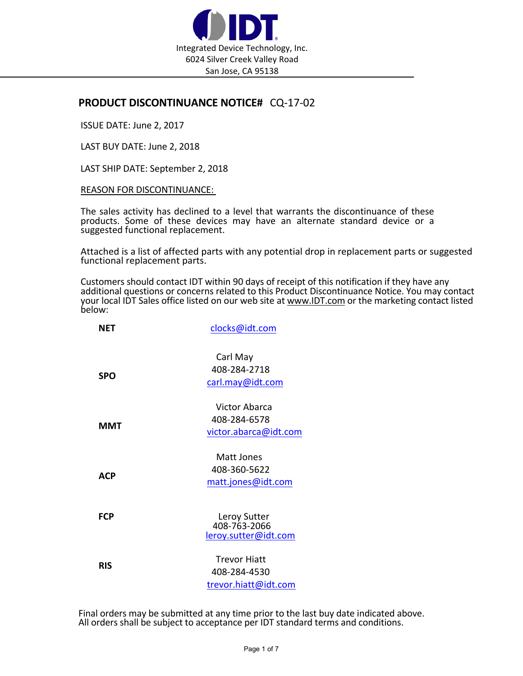

## **PRODUCT DISCONTINUANCE NOTICE#** CQ‐17‐02

ISSUE DATE: June 2, 2017

LAST BUY DATE: June 2, 2018

LAST SHIP DATE: September 2, 2018

## REASON FOR DISCONTINUANCE:

The sales activity has declined to a level that warrants the discontinuance of these products. Some of these devices may have an alternate standard device or a suggested functional replacement.

Attached is a list of affected parts with any potential drop in replacement parts or suggested functional replacement parts.

Customers should contact IDT within 90 days of receipt of this notification if they have any<br>additional questions or concerns related to this Product Discontinuance Notice. You may contact additional questions or concerns related to this Product Discontinuance Notice. You may contact your local IDT Sales office listed on our web site at www.IDT.com or the marketing contact listed below:

| <b>NET</b> | clocks@idt.com                                                |  |
|------------|---------------------------------------------------------------|--|
| <b>SPO</b> | Carl May<br>408-284-2718<br>carl.may@idt.com                  |  |
| <b>MMT</b> | <b>Victor Abarca</b><br>408-284-6578<br>victor.abarca@idt.com |  |
| <b>ACP</b> | Matt Jones<br>408-360-5622<br>matt.jones@idt.com              |  |
| <b>FCP</b> | Leroy Sutter<br>408-763-2066<br>leroy.sutter@idt.com          |  |
| <b>RIS</b> | <b>Trevor Hiatt</b><br>408-284-4530<br>trevor.hiatt@idt.com   |  |

Final orders may be submitted at any time prior to the last buy date indicated above.<br>All orders shall be subject to acceptance per IDT standard terms and conditions.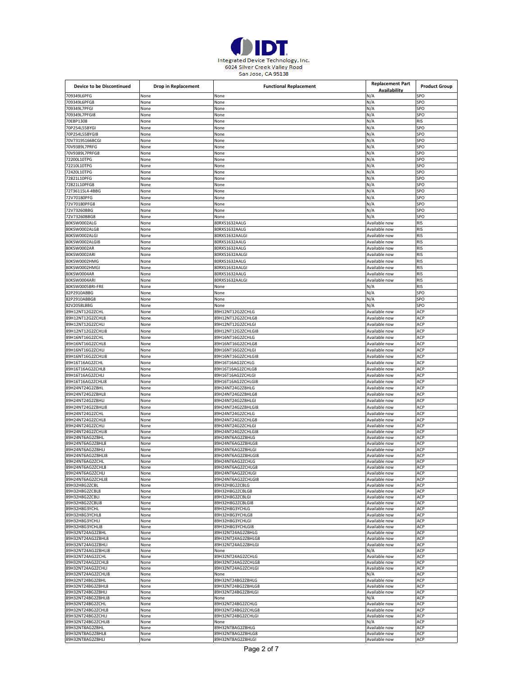

| Device to be Discontinued              | Drop in Replacement | <b>Functional Replacement</b>            | <b>Replacement Part</b>        | <b>Product Group</b> |
|----------------------------------------|---------------------|------------------------------------------|--------------------------------|----------------------|
| 709349L6PFG                            |                     |                                          | Availability                   |                      |
| 709349L6PFG8                           | None<br>None        | None<br>None                             | N/A<br>N/A                     | SPO<br>SPO           |
| 709349L7PFGI                           | None                | None                                     | N/A                            | SPO                  |
| 709349L7PFGI8                          | None                | None                                     | N/A                            | SPO                  |
| 70EBP1308                              | None                | None                                     | N/A                            | RIS                  |
| 70P254L55BYGI                          | None                | None                                     | N/A                            | SPO                  |
| 70P254L55BYGI8                         | None                | None                                     | N/A                            | SPO                  |
| 70V7319S166BCGI                        | None                | None                                     | N/A                            | SPO                  |
| 70V9389L7PRFG                          | None                | None                                     | N/A                            | SPO                  |
| 70V9389L7PRFG8                         | None                | None                                     | N/A                            | SPO                  |
| 72200L10TPG                            | None                | None                                     | N/A                            | SPO                  |
| 72210L10TPG<br>72420L10TPG             | None<br>None        | None<br>None                             | N/A<br>N/A                     | SPO<br>SPO           |
| 72821L10PFG                            | None                | None                                     | N/A                            | SPO                  |
| 72821L10PFG8                           | None                | None                                     | N/A                            | SPO                  |
| 72T36115L4-4BBG                        | None                | None                                     | N/A                            | SPO                  |
| 72V70180PFG                            | None                | None                                     | N/A                            | SPO                  |
| 72V70180PFG8                           | None                | None                                     | N/A                            | SPO                  |
| 72V73260BBG                            | None                | None                                     | N/A                            | SPO                  |
| 72V73260BBG8                           | None                | None                                     | N/A                            | SPO                  |
| 80KSW0002ALG                           | None                | BORXS1632AALG                            | Available now                  | RIS                  |
| 80KSW0002ALG8<br>80KSW0002ALGI         | None<br>None        | 80RXS1632AALG<br>80RXS1632AALGI          | Available now<br>Available now | RIS<br><b>RIS</b>    |
| 80KSW0002ALGI8                         | None                | 80RXS1632AALG                            | Available now                  | <b>RIS</b>           |
| 80KSW0002AR                            | None                | 80RXS1632AALG                            | Available now                  | RIS                  |
| 80KSW0002ARI                           | None                | 80RXS1632AALGI                           | Available now                  | RIS                  |
| 80KSW0002HMG                           | None                | 80RXS1632AALG                            | Available now                  | <b>RIS</b>           |
| 80KSW0002HMGI                          | None                | BORXS1632AALGI                           | Available now                  | <b>RIS</b>           |
| 80KSW0004AR                            | None                | 80RXS1632AALG                            | Available now                  | RIS                  |
| 80KSW0004ARI                           | None                | 80RXS1632AALGI                           | Available now                  | <b>RIS</b>           |
| 80KSW0005BRI-FRE                       | None                | None                                     | N/A                            | <b>RIS</b><br>SPO    |
| 82P2910ABBG<br>82P2910ABBG8            | None<br>None        | None<br>None                             | N/A<br>N/A                     | SPO                  |
| 82V2058LBBG                            | None                | None                                     | N/A                            | SPO                  |
| 89H12NT12G2ZCHL                        | None                | 89H12NT12G2ZCHLG                         | Available now                  | ACP                  |
| 89H12NT12G2ZCHL8                       | None                | 89H12NT12G2ZCHLG8                        | Available now                  | ACP                  |
| 89H12NT12G2ZCHLI                       | None                | 89H12NT12G2ZCHLGI                        | Available now                  | ACP                  |
| 89H12NT12G2ZCHLI8                      | None                | 89H12NT12G2ZCHLGI8                       | Available now                  | ACP                  |
| 89H16NT16G2ZCHL                        | None                | 89H16NT16G2ZCHLG                         | Available now                  | ACP                  |
| 89H16NT16G2ZCHL8                       | None                | 89H16NT16G2ZCHLG8                        | Available now                  | ACP                  |
| 89H16NT16G2ZCHLI<br>89H16NT16G2ZCHLI8  | None<br>None        | 89H16NT16G2ZCHLGI<br>89H16NT16G2ZCHLGI8  | Available now<br>Available now | ACP<br>ACP           |
| 89H16T16AG2ZCHL                        | None                | 89H16T16AG2ZCHLG                         | Available now                  | ACP                  |
| 89H16T16AG2ZCHL8                       | None                | 89H16T16AG2ZCHLG8                        | Available now                  | ACP                  |
| 89H16T16AG2ZCHLI                       | None                | 89H16T16AG2ZCHLGI                        | Available now                  | ACP                  |
| 89H16T16AG2ZCHLI8                      | None                | 89H16T16AG2ZCHLGI8                       | Available now                  | ACP                  |
| 89H24NT24G2ZBHL                        | None                | 89H24NT24G2ZBHLG                         | Available now                  | ACP                  |
| 89H24NT24G2ZBHL8                       | None                | 89H24NT24G2ZBHLG8                        | Available now                  | ACP                  |
| 89H24NT24G2ZBHLI<br>89H24NT24G2ZBHLI8  | None<br>None        | 89H24NT24G2ZBHLGI<br>89H24NT24G2ZBHLGI8  | Available now<br>Available now | ACP<br>ACP           |
| 89H24NT24G2ZCHL                        | None                | 89H24NT24G2ZCHLG                         | Available now                  | ACP                  |
| 89H24NT24G2ZCHL8                       | None                | 89H24NT24G2ZCHLG8                        | Available now                  | ACP                  |
| 89H24NT24G2ZCHLI                       | None                | 89H24NT24G2ZCHLGI                        | Available now                  | ACP                  |
| 89H24NT24G2ZCHLI8                      | None                | 89H24NT24G2ZCHLGI8                       | Available now                  | ACP                  |
| 89H24NT6AG2ZBHL                        | None                | 89H24NT6AG2ZBHLG                         | Available now                  | ACP                  |
| 89H24NT6AG2ZBHL8<br>89H24NT6AG2ZBHLI   | None<br>None        | 89H24NT6AG2ZBHLG8<br>39H24NT6AG2ZBHLGI   | Available now<br>Available now | ACP<br>ACP           |
| 89H24NT6AG2ZBHLI8                      | None                | 89H24NT6AG2ZBHLGI8                       | Available now                  | ACP                  |
| 89H24NT6AG2ZCHL                        | None                | 89H24NT6AG2ZCHLG                         | Available now                  | ACP                  |
| 89H24NT6AG2ZCHL8                       | None                | 89H24NT6AG2ZCHLG8                        | Available now                  | ACP                  |
| 89H24NT6AG2ZCHLI                       | None                | 89H24NT6AG2ZCHLGI                        | Available now                  | ACP                  |
| 89H24NT6AG2ZCHLI8<br>89H32H8G2ZCBL     | None<br>None        | 89H24NT6AG2ZCHLGI8<br>89H32H8G2ZCBLG     | Available now<br>Available now | ACP<br>ACP           |
| 89H32H8G2ZCBL8                         | None                | 89H32H8G2ZCBLG8                          | Available now                  | ACP                  |
| 89H32H8G2ZCBLI                         | None                | 89H32H8G2ZCBLGI                          | Available now                  | ACP                  |
| 89H32H8G2ZCBLI8                        | None                | 89H32H8G2ZCBLGI8                         | Available now                  | ACP                  |
| 89H32H8G3YCHL                          | None                | 89H32H8G3YCHLG                           | Available now                  | ACP                  |
| 89H32H8G3YCHL8<br>89H32H8G3YCHLI       | None                | 89H32H8G3YCHLG8<br>89H32H8G3YCHLGI       | Available now<br>Available now | ACP<br>ACP           |
| 89H32H8G3YCHLI8                        | None<br>None        | 89H32H8G3YCHLGI8                         | Available now                  | ACP                  |
| 89H32NT24AG2ZBHL                       | None                | 89H32NT24AG2ZBHLG                        | Available now                  | ACP                  |
| 89H32NT24AG2ZBHL8                      | None                | 89H32NT24AG2ZBHLG8                       | Available now                  | ACP                  |
| 89H32NT24AG2ZBHLI                      | None                | 89H32NT24AG2ZBHLGI                       | Available now                  | ACP                  |
| 89H32NT24AG2ZBHLI8<br>89H32NT24AG2ZCHL | None<br>None        | None<br>89H32NT24AG2ZCHLG                | N/A<br>Available now           | ACP<br>ACP           |
| 89H32NT24AG2ZCHL8                      | None                | 89H32NT24AG2ZCHLG8                       | Available now                  | ACP                  |
| 89H32NT24AG2ZCHLI                      | None                | 89H32NT24AG2ZCHLGI                       | Available now                  | ACP                  |
| 89H32NT24AG2ZCHLI8                     | None                | None                                     | N/A                            | ACP                  |
| 89H32NT24BG2ZBHL                       | None                | 89H32NT24BG2ZBHLG                        | Available now                  | ACP                  |
| 89H32NT24BG2ZBHL8<br>89H32NT24BG2ZBHLI | None<br>None        | 89H32NT24BG2ZBHLG8<br>89H32NT24BG2ZBHLGI | Available now<br>Available now | ACP<br>ACP           |
| 89H32NT24BG2ZBHLI8                     | None                | None                                     | N/A                            | ACP                  |
| 89H32NT24BG2ZCHL                       | None                | 89H32NT24BG2ZCHLG                        | Available now                  | ACP                  |
| 89H32NT24BG2ZCHL8                      | None                | 89H32NT24BG2ZCHLG8                       | Available now                  | ACP                  |
| 89H32NT24BG2ZCHLI                      | None                | 89H32NT24BG2ZCHLGI                       | Available now                  | ACP                  |
| 89H32NT24BG2ZCHLI8<br>89H32NT8AG2ZBHL  | None<br>None        | None<br>89H32NT8AG2ZBHLG                 | N/A<br>Available now           | ACP<br>ACP           |
| 89H32NT8AG2ZBHL8                       | None                | 89H32NT8AG2ZBHLG8                        | Available now                  | ACP                  |
| 89H32NT8AG2ZBHLI                       | None                | 89H32NT8AG2ZBHLGI                        | Available now                  | ACP                  |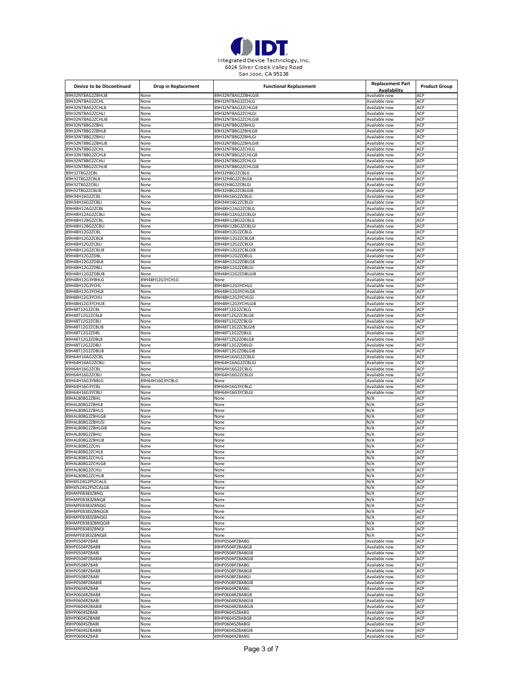

| <b>Device to be Discontinued</b>     | Drop in Replacement     | <b>Functional Replacement</b>          | <b>Replacement Part</b>        | <b>Product Group</b> |
|--------------------------------------|-------------------------|----------------------------------------|--------------------------------|----------------------|
|                                      |                         |                                        | Availability                   |                      |
| 89H32NT8AG2ZBHLI8<br>89H32NT8AG2ZCHL | None                    | 89H32NT8AG2ZBHLGI8<br>89H32NT8AG2ZCHLG | Available now<br>Available now | ACP<br>ACP           |
|                                      | None                    | 89H32NT8AG2ZCHLG8                      |                                | ACP                  |
| 89H32NT8AG2ZCHL8<br>89H32NT8AG2ZCHLI | None<br>None            | 89H32NT8AG2ZCHLGI                      | Available now<br>Available now | ACP                  |
| 89H32NT8AG2ZCHLI8                    | None                    | 89H32NT8AG2ZCHLGI8                     | Available now                  | ACP                  |
| 89H32NT8BG2ZBHL                      | None                    | 89H32NT8BG2ZBHLG                       | Available now                  | ACP                  |
| 89H32NT8BG2ZBHL8                     | None                    | 89H32NT8BG2ZBHLG8                      | Available now                  | ACP                  |
| 89H32NT8BG2ZBHLI                     | None                    | 89H32NT8BG2ZBHLGI                      | Available now                  | ACP                  |
| 89H32NT8BG2ZBHLI8                    | None                    | 89H32NT8BG2ZBHLGI8                     | Available now                  | ACP                  |
| 89H32NT8BG2ZCHL                      | None                    | 89H32NT8BG2ZCHLG                       | Available now                  | ACP                  |
| 89H32NT8BG2ZCHL8                     | None                    | 89H32NT8BG2ZCHLG8                      | Available now                  | ACP                  |
| 89H32NT8BG2ZCHLI                     | None                    | 89H32NT8BG2ZCHLGI                      | Available now                  | ACP                  |
| 89H32NT8BG2ZCHLI8                    | None                    | 89H32NT8BG2ZCHLGI8                     | Available now                  | ACP                  |
| 89H32T8G2ZCBL                        | None                    | 89H32H8G2ZCBLG                         | Available now<br>Available now | ACP<br>ACP           |
| 89H32T8G2ZCBL8<br>89H32T8G2ZCBLI     | None<br>None            | 89H32H8G2ZCBLG8<br>89H32H8G2ZCBLGI     | Available now                  | ACP                  |
| 89H32T8G2ZCBLI8                      | None                    | 89H32H8G2ZCBLGI8                       | Available now                  | ACP                  |
| 89H34H16G2ZCBL                       | None                    | 89H34H16G2ZCBLG                        | Available now                  | ACP                  |
| 89H34H16G2ZCBLI                      | None                    | 89H34H16G2ZCBLGI                       | Available now                  | ACP                  |
| 89H48H12AG2ZCBL                      | None                    | 89H48H12AG2ZCBLG                       | Available now                  | ACP                  |
| 89H48H12AG2ZCBLI                     | None                    | 89H48H12AG2ZCBLGI                      | Available now                  | ACP                  |
| 89H48H12BG2ZCBL                      | None                    | 89H48H12BG2ZCBLG                       | Available now                  | ACP                  |
| 89H48H12BG2ZCBLI                     | None                    | 89H48H12BG2ZCBLG                       | Available now                  | ACP                  |
| 89H48H12G2ZCBL                       | None                    | 89H48H12G2ZCBLG                        | Available now                  | ACP                  |
| 89H48H12G2ZCBL8                      | None                    | 89H48H12G2ZCBLG8                       | Available now                  | ACP                  |
| 89H48H12G2ZCBLI                      | None                    | 89H48H12G2ZCBLGI                       | Available now                  | ACP                  |
| 89H48H12G2ZCBLI8<br>89H48H12G2ZDBL   | None<br>None            | 89H48H12G2ZCBLGI8<br>89H48H12G2ZDBLG   | Available now<br>Available now | ACP<br>ACP           |
| 89H48H12G2ZDBL8                      | None                    | 89H48H12G2ZDBLG8                       | Available now                  | ACP                  |
| 89H48H12G2ZDBLI                      | None                    | 89H48H12G2ZDBLGI                       | Available now                  | ACP                  |
| 89H48H12G2ZDBLI8                     | None                    | 89H48H12G2ZDBLGI8                      | Available now                  | ACP                  |
| 89H48H12G3YBHLG                      | 89H48H12G3YCHLG         | None                                   | Available now                  | ACP                  |
| 89H48H12G3YCHL                       | None                    | 89H48H12G3YCHLG                        | Available now                  | ACP                  |
| 89H48H12G3YCHL8                      | None                    | 89H48H12G3YCHLG8                       | Available now                  | ACP                  |
| 89H48H12G3YCHLI                      | None                    | 89H48H12G3YCHLGI                       | Available now                  | ACP                  |
| 89H48H12G3YCHLI8                     | None                    | 89H48H12G3YCHLGI8                      | Available now                  | ACP                  |
| 89H48T12G2ZCBL<br>89H48T12G2ZCBL8    | None                    | 89H48T12G2ZCBLG                        | Available now                  | ACP                  |
|                                      | None                    | 89H48T12G2ZCBLG8                       | Available now                  | ACP<br>ACP           |
| 89H48T12G2ZCBLI<br>89H48T12G2ZCBLI8  | None<br>None            | 89H48T12G2ZCBLGI<br>89H48T12G2ZCBLGI8  | Available now<br>Available now | ACP                  |
| 89H48T12G2ZDBL                       | None                    | 89H48T12G2ZDBLG                        | Available now                  | ACP                  |
| 89H48T12G2ZDBL8                      | None                    | 89H48T12G2ZDBLG8                       | Available now                  | ACP                  |
| 89H48T12G2ZDBLI                      | None                    | 89H48T12G2ZDBLGI                       | Available now                  | ACP                  |
| 89H48T12G2ZDBLI8                     | None                    | 89H48T12G2ZDBLGI8                      | Available now                  | ACP                  |
| 89H64H16AG2ZCBL                      | None                    | 89H64H16AG2ZCBLG                       | Available now                  | ACP                  |
| 89H64H16AG2ZCBLI                     | None                    | 89H64H16AG2ZCBLGI                      | Available now                  | ACP                  |
| 89H64H16G2ZCBL                       | None                    | 89H64H16G2ZCBLG                        | Available now                  | ACP                  |
| 89H64H16G2ZCBLI                      | None                    | 89H64H16G2ZCBLGI                       | Available now                  | ACP                  |
| 89H64H16G3YBBLG<br>89H64H16G3YCBL    | 89H64H16G3YCBLG<br>None | None<br>89H64H16G3YCBLG                | Available now<br>Available now | ACP<br>ACP           |
| 89H64H16G3YCBLI                      | None                    | 89H64H16G3YCBLGI                       | Available now                  | ACP                  |
| 89HAL808G2ZBHL                       | None                    | None                                   | N/A                            | ACP                  |
| 89HAL808G2ZBHL8                      | None                    | None                                   | N/A                            | ACP                  |
| 89HAL808G2ZBHLG                      | None                    | None                                   | N/A                            | ACP                  |
| 89HAL808G2ZBHLG8                     | None                    | None                                   | N/A                            | ACP                  |
| 89HAL808G2ZBHLGI                     | None                    | None                                   | N/A                            | ACP                  |
| 89HAL808G2ZBHLGI8                    | None                    | None                                   | N/A                            | ACP                  |
| 89HAL808G2ZBHLI                      | None                    | None                                   | N/A                            | ACP                  |
| 89HAL808G2ZBHLI8                     | None                    | None                                   | N/A                            | ACP                  |
| 89HAL808G2ZCHL<br>89HAL808G2ZCHL8    | None<br>None            | None<br>None                           | N/A<br>N/A                     | ACP<br>ACP           |
| 89HAL808G2ZCHLG                      | None                    | None                                   | N/A                            | ACP                  |
| 89HAL808G2ZCHLG8                     | None                    | None                                   | N/A                            | ACP                  |
| 89HAL808G2ZCHLI                      | None                    | None                                   | N/A                            | ACP                  |
| 89HAL808G2ZCHLI8                     | None                    | None                                   | N/A                            | ACP                  |
| 89HI0524G2PSZCALG                    | None                    | None                                   | N/A                            | ACP                  |
| 89HI0524G2PSZCALG8                   | None                    | None                                   | N/A                            | ACP                  |
| 89HMPEB383ZBNQ                       | None                    | None                                   | N/A                            | ACP                  |
| 89HMPEB383ZBNQ8                      | None                    | None                                   | N/A                            | ACP                  |
| 89HMPEB383ZBNQG<br>89HMPEB383ZBNQG8  | None<br>None            | None<br>None                           | N/A<br>N/A                     | ACP<br>ACP           |
| 89HMPEB383ZBNQGI                     | None                    | None                                   | N/A                            | ACP                  |
| 89HMPEB383ZBNQGI8                    | None                    | None                                   | N/A                            | ACP                  |
| 89HMPEB383ZBNQI                      | None                    | None                                   | N/A                            | ACP                  |
| 89HMPEB383ZBNQI8                     | None                    | None                                   | N/A                            | ACP                  |
| 89HP0504PZBAB                        | None                    | 89HP0504PZBABG                         | Available now                  | ACP                  |
| 89HP0504PZBAB8                       | None                    | 89HP0504PZBABG8                        | Available now                  | ACP                  |
| 89HP0504PZBABI                       | None                    | 89HP0504PZBABGI8                       | Available now                  | ACP                  |
| 89HP0504PZBABI8                      | None                    | 89HP0504PZBABGI8                       | Available now                  | ACP                  |
| 89HP0508PZBAB                        | None                    | 89HP0508PZBABG                         | Available now                  | ACP                  |
| 89HP0508PZBAB8<br>89HP0508PZBABI     | None<br>None            | 89HP0508PZBABG8<br>89HP0508PZBABGI     | Available now<br>Available now | ACP<br>ACP           |
| 89HP0508PZBABI8                      | None                    | 89HP0508PZBABGI8                       | Available now                  | ACP                  |
| 89HP0604RZBAB                        | None                    | 89HP0604RZBABG                         | Available now                  | ACP                  |
| 89HP0604RZBAB8                       | None                    | 89HP0604RZBABG8                        | Available now                  | ACP                  |
| 89HP0604RZBABI                       | None                    | 89HP0604RZBABGI8                       | Available now                  | ACP                  |
| 89HP0604RZBABI8                      | None                    | 89HP0604RZBABGI8                       | Available now                  | ACP                  |
| 89HP0604SZBAB                        | None                    | 89HP0604SZBABG                         | Available now                  | ACP                  |
| 89HP0604SZBAB8                       | None                    | 89HP0604SZBABG8                        | Available now                  | ACP                  |
| 89HP0604SZBABI                       | None                    | 89HP0604SZBABGI                        | Available now                  | ACP                  |
| 89HP0604SZBABI8                      | None                    | 89HP0604SZBABGI8                       | Available now                  | ACP<br>ACP           |
| 89HP0604XZBAB                        | None                    | 89HP0604XZBABG                         | Available now                  |                      |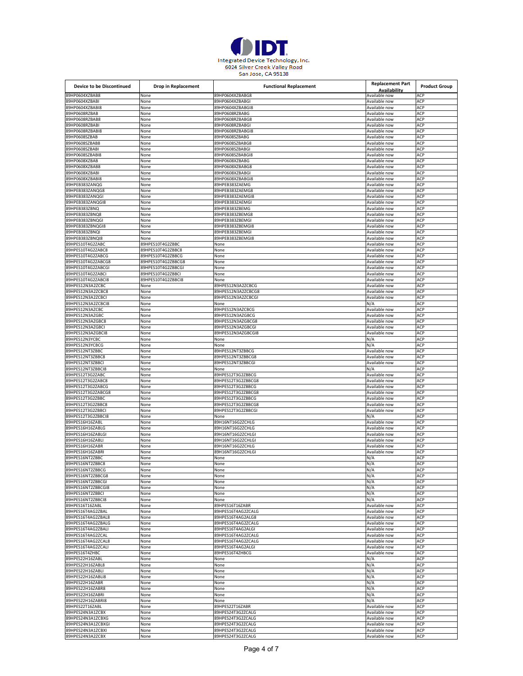

| <b>Device to be Discontinued</b>      | Drop in Replacement | <b>Functional Replacement</b>          | <b>Replacement Part</b><br>Availability | <b>Product Group</b> |
|---------------------------------------|---------------------|----------------------------------------|-----------------------------------------|----------------------|
| 89HP0604XZBAB8                        | None                | 89HP0604XZBABG8                        | Available now                           | ACP                  |
| 89HP0604XZBABI                        | None                | 89HP0604XZBABGI                        | Available now                           | ACP                  |
| 89HP0604XZBABI8                       | None                | 89HP0604XZBABGI8                       | Available now                           | ACP                  |
| 89HP0608RZBAB                         | None                | 89HP0608RZBABG                         | Available now                           | ACP                  |
| 89HP0608RZBAB8                        | None                | 89HP0608RZBABG8                        | Available now                           | ACP                  |
| 89HP0608RZBABI                        | None                | 89HP0608RZBABGI                        | Available now                           | ACP                  |
| 89HP0608RZBABI8                       | None                | 89HP0608RZBABGI8                       | Available now                           | ACP                  |
| 89HP0608SZBAB                         | None                | 89HP0608SZBABG                         | Available now                           | ACP                  |
| 89HP0608SZBAB8                        |                     | 89HP0608SZBABG8                        |                                         | ACP                  |
|                                       | None                |                                        | Available now                           |                      |
| 39HP0608SZBABI                        | None                | 89HP0608SZBABGI                        | Available now                           | ACP                  |
| 89HP0608SZBABI8                       | None                | 89HP0608SZBABGI8                       | Available now                           | ACP                  |
| 89HP0608XZBAB                         | None                | 89HP0608XZBABG                         | Available now                           | ACP                  |
| 39HP0608XZBAB8                        | None                | 89HP0608XZBABG8                        | Available now                           | ACP                  |
| 89HP0608XZBABI                        | None                | 89HP0608XZBABGI                        | Available now                           | ACP                  |
| 89HP0608XZBABI8                       | None                | 89HP0608XZBABGI8                       | Available now                           | ACP                  |
| 39HPEB383ZANQG                        | None                | 89HPEB383ZAEMG                         | Available now                           | ACP                  |
| 89HPEB383ZANQG8                       | None                | 89HPEB383ZAEMG8                        | Available now                           | ACP                  |
| 89HPEB383ZANQGI                       |                     | 89HPEB383ZAEMGI8                       | Available now                           | ACP                  |
|                                       | None                |                                        |                                         |                      |
| 39HPEB383ZANQGI8                      | None                | 89HPEB383ZAEMGI                        | Available now                           | ACP                  |
| 89HPEB383ZBNQ                         | None                | 89HPEB383ZBEMG                         | Available now                           | ACP                  |
| 89HPEB383ZBNQ8                        | None                | 89HPEB383ZBEMG8                        | Available now                           | ACP                  |
| 89HPEB383ZBNQGI                       | None                | 89HPEB383ZBEMGI                        | Available now                           | ACP                  |
| 89HPEB383ZBNQGI8                      | None                | 89HPEB383ZBEMGI8                       | Available now                           | ACP                  |
| 89HPEB383ZBNQI                        | None                | 89HPEB383ZBEMGI                        | Available now                           | ACP                  |
| 39HPEB383ZBNQI8                       | None                | 89HPEB383ZBEMGI8                       | Available now                           | ACP                  |
|                                       |                     |                                        |                                         |                      |
| 89HPES10T4G2ZABC                      | 89HPES10T4G2ZBBC    | None                                   | Available now                           | ACP                  |
| 89HPES10T4G2ZABC8                     | 89HPES10T4G2ZBBC8   | None                                   | Available now                           | ACP                  |
| 39HPES10T4G2ZABCG                     | 89HPES10T4G2ZBBCG   | None                                   | Available now                           | ACP                  |
| 89HPES10T4G2ZABCG8                    | 89HPES10T4G2ZBBCG8  | None                                   | Available now                           | ACP                  |
| 89HPES10T4G2ZABCGI                    | 89HPES10T4G2ZBBCGI  | None                                   | Available now                           | ACP                  |
| 39HPES10T4G2ZABCI                     | 89HPES10T4G2ZBBCI   | None                                   | Available now                           | ACP                  |
| 89HPES10T4G2ZABCI8                    | 89HPES10T4G2ZBBCI8  | None                                   | Available now                           | ACP                  |
|                                       |                     |                                        |                                         |                      |
| 89HPES12N3A2ZCBC                      | None                | 89HPES12N3A2ZCBCG                      | Available now                           | ACP                  |
| 89HPES12N3A2ZCBC8                     | None                | 89HPES12N3A2ZCBCG8                     | Available now                           | ACP                  |
| 89HPES12N3A2ZCBCI                     | None                | 89HPES12N3A2ZCBCGI                     | Available now                           | ACP                  |
| 89HPES12N3A2ZCBCI8                    | None                | None                                   | N/A                                     | ACP                  |
| 89HPES12N3AZCBC                       | None                | 89HPES12N3AZCBCG                       | Available now                           | ACP                  |
| 39HPES12N3AZGBC                       | None                | 89HPES12N3AZGBCG                       | Available now                           | ACP                  |
| 89HPES12N3AZGBC8                      | None                | 89HPES12N3AZGBCG8                      | Available now                           | ACP                  |
|                                       |                     |                                        |                                         | ACP                  |
| 89HPES12N3AZGBCI                      | None                | 89HPES12N3AZGBCGI                      | Available now                           |                      |
| 39HPES12N3AZGBCI8                     | None                | 89HPES12N3AZGBCGI8                     | Available now                           | ACP                  |
| 89HPES12N3YCBC                        | None                | None                                   | N/A                                     | ACP                  |
| 89HPES12N3YCBCG                       | None                | None                                   | N/A                                     | ACP                  |
| 39HPES12NT3ZBBC                       | None                | 89HPES12NT3ZBBCG                       | Available now                           | ACP                  |
| 89HPES12NT3ZBBC8                      | None                | 89HPES12NT3ZBBCG8                      | Available now                           | ACP                  |
| 89HPES12NT3ZBBCI                      | None                | 89HPES12NT3ZBBCGI                      | Available now                           | ACP                  |
| 39HPES12NT3ZBBCI8                     | None                | None                                   | N/A                                     | ACP                  |
|                                       |                     |                                        |                                         | ACP                  |
| 89HPES12T3G2ZABC                      | None                | 89HPES12T3G2ZBBCG                      | Available now                           |                      |
| 89HPES12T3G2ZABC8                     | None                | 89HPES12T3G2ZBBCG8                     | Available now                           | ACP                  |
| 39HPES12T3G2ZABCG                     | None                | 89HPES12T3G2ZBBCG                      | Available now                           | ACP                  |
| 89HPES12T3G2ZABCG8                    | None                | 89HPES12T3G2ZBBCG8                     | Available now                           | ACP                  |
| 89HPES12T3G2ZBBC                      | None                | 89HPES12T3G2ZBBCG                      | Available now                           | ACP                  |
| 39HPES12T3G2ZBBC8                     | None                | 89HPES12T3G2ZBBCG8                     | Available now                           | ACP                  |
| 89HPES12T3G2ZBBCI                     | None                | 89HPES12T3G2ZBBCGI                     | Available now                           | ACP                  |
| 89HPES12T3G2ZBBCI8                    | None                | None                                   | N/A                                     | ACP                  |
| 39HPES16H16ZABL                       |                     | 89H16NT16G2ZCHLG                       | Available now                           | ACP                  |
|                                       | None                |                                        |                                         |                      |
| 89HPES16H16ZABLG                      | None                | 89H16NT16G2ZCHLG                       | Available now                           | ACP                  |
| 89HPES16H16ZABLGI                     | None                | 89H16NT16G2ZCHLGI                      | Available now                           | ACP                  |
| 89HPES16H16ZABLI                      | None                | 89H16NT16G2ZCHLGI                      | Available now                           | ACP                  |
| 39HPES16H16ZABR                       | None                | 89H16NT16G2ZCHLG                       | Available now                           | ACP                  |
| 89HPES16H16ZABRI                      | None                | 89H16NT16G2ZCHLGI                      | Available now                           | ACP                  |
| 39HPES16NT2ZBBC                       | vone                | vone                                   | N/A                                     | ACF                  |
| 89HPES16NT2ZBBC8                      | None                | None                                   | N/A                                     | ACP                  |
| 89HPES16NT2ZBBCG                      | None                | None                                   | N/A                                     | ACP                  |
|                                       |                     |                                        |                                         |                      |
| 89HPES16NT2ZBBCG8                     | None                | None                                   | N/A                                     | ACP                  |
| 39HPES16NT2ZBBCGI                     | None                | None                                   | N/A                                     | ACP                  |
| 89HPES16NT2ZBBCGI8                    | None                | None                                   | N/A                                     | ACP                  |
| 89HPES16NT2ZBBCI                      | None                | None                                   | N/A                                     | ACP                  |
| 39HPES16NT2ZBBCI8                     | None                | None                                   | N/A                                     | ACP                  |
| 89HPES16T16ZABL                       | None                | 89HPES16T16ZABR                        | Available now                           | ACP                  |
| 89HPES16T4AG2ZBAL                     | None                | 89HPES16T4AG2ZCALG                     | Available now                           | ACP                  |
| 89HPES16T4AG2ZBAL8                    | None                | 89HPES16T4AG2ALG8                      | Available now                           | ACP                  |
|                                       |                     |                                        |                                         |                      |
| 89HPES16T4AG2ZBALG                    | None                | 89HPES16T4AG2ZCALG                     | Available now                           | ACP                  |
| 89HPES16T4AG2ZBALI                    | None                | 89HPES16T4AG2ALGI                      | Available now                           | ACP                  |
| 89HPES16T4AG2ZCAL                     |                     |                                        | Available now                           | ACP                  |
|                                       | None                | 89HPES16T4AG2ZCALG                     |                                         |                      |
| 89HPES16T4AG2ZCAL8                    | None                | 89HPES16T4AG2ZCALG                     | Available now                           | ACP                  |
| 89HPES16T4AG2ZCALI                    | None                | 89HPES16T4AG2ALGI                      | Available now                           | ACP                  |
| 89HPES16T4ZHBC                        | None                | 89HPES16T4ZHBCG                        | Available now                           | ACP                  |
|                                       |                     |                                        |                                         |                      |
| 89HPES22H16ZABL                       | None                | None                                   | N/A                                     | ACP                  |
| 89HPES22H16ZABL8                      | None                | None                                   | N/A                                     | ACP                  |
| 39HPES22H16ZABLI                      | None                | None                                   | N/A                                     | ACP                  |
| 89HPES22H16ZABLI8                     | None                | None                                   | N/A                                     | ACP                  |
| 89HPES22H16ZABR                       | None                | None                                   | N/A                                     | ACP                  |
| 89HPES22H16ZABR8                      | None                | None                                   | N/A                                     | ACP                  |
| 89HPES22H16ZABRI                      | None                | None                                   | N/A                                     | ACP                  |
|                                       |                     |                                        |                                         |                      |
| 89HPES22H16ZABRI8                     | None                | None                                   | N/A                                     | ACP                  |
| 89HPES22T16ZABL                       | None                | 89HPES22T16ZABR                        | Available now                           | ACP                  |
| 39HPES24N3A1ZCBX                      | None                | 89HPES24T3G2ZCALG                      | Available now                           | ACP                  |
| 89HPES24N3A1ZCBXG                     | None                | 89HPES24T3G2ZCALG                      | Available now                           | ACP                  |
| 89HPES24N3A1ZCBXGI                    | None                | 89HPES24T3G2ZCALG                      | Available now                           | ACP                  |
| 39HPES24N3A1ZCBXI<br>89HPES24N3A2ZCBX | None<br>None        | 89HPES24T3G2ZCALG<br>89HPES24T3G2ZCALG | Available now<br>Available now          | ACP<br>ACP           |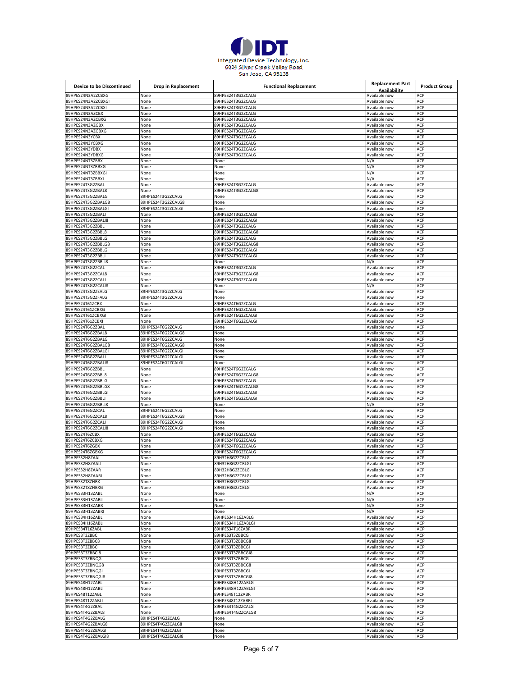

| <b>Device to be Discontinued</b>        | Drop in Replacement                      | <b>Functional Replacement</b>            | <b>Replacement Part</b>        | <b>Product Group</b> |
|-----------------------------------------|------------------------------------------|------------------------------------------|--------------------------------|----------------------|
|                                         |                                          |                                          | Availability                   |                      |
| 89HPES24N3A2ZCBXG                       | None                                     | 89HPES24T3G2ZCALG                        | Available now                  | ACP                  |
| 39HPES24N3A2ZCBXGI                      | None                                     | 89HPES24T3G2ZCALG<br>89HPES24T3G2ZCALG   | Available now                  | ACP                  |
| 89HPES24N3A2ZCBXI<br>89HPES24N3AZCBX    | None<br>None                             | 89HPES24T3G2ZCALG                        | Available now<br>Available now | ACP<br>ACP           |
| 39HPES24N3AZCBXG                        | None                                     | 89HPES24T3G2ZCALG                        | Available now                  | ACP                  |
| 89HPES24N3AZGBX                         | None                                     | 89HPES24T3G2ZCALG                        | Available now                  | ACP                  |
| 89HPES24N3AZGBXG                        | None                                     | 89HPES24T3G2ZCALG                        | Available now                  | ACP                  |
| 39HPES24N3YCBX                          | None                                     | 89HPES24T3G2ZCALG                        | Available now                  | ACP                  |
| 89HPES24N3YCBXG                         | None                                     | 89HPES24T3G2ZCALG                        | Available now                  | ACP                  |
| 89HPES24N3YDBX                          | None                                     | 89HPES24T3G2ZCALG                        | Available now                  | ACP                  |
| 89HPES24N3YDBXG                         | None                                     | 89HPES24T3G2ZCALG                        | Available now                  | ACP                  |
| 89HPES24NT3ZBBX                         | None                                     | None                                     | N/A                            | ACP                  |
| 89HPES24NT3ZBBXG                        | None                                     | None                                     | N/A                            | ACP                  |
| 89HPES24NT3ZBBXGI                       | None                                     | None                                     | N/A                            | ACP                  |
| 89HPES24NT3ZBBXI                        | None                                     | None                                     | N/A                            | ACP                  |
| 39HPES24T3G2ZBAL                        | None                                     | 89HPES24T3G2ZCALG                        | Available now                  | ACP                  |
| 89HPES24T3G2ZBAL8                       | None                                     | 89HPES24T3G2ZCALG8                       | Available now                  | ACP                  |
| 89HPES24T3G2ZBALG                       | 89HPES24T3G2ZCALG                        | None                                     | Available now                  | ACP                  |
| 89HPES24T3G2ZBALG8                      | 89HPES24T3G2ZCALG8                       | None                                     | Available now                  | ACP                  |
| 89HPES24T3G2ZBALGI                      | 89HPES24T3G2ZCALGI                       | None                                     | Available now                  | ACP                  |
| 39HPES24T3G2ZBALI                       | None                                     | 89HPES24T3G2ZCALGI                       | Available now                  | ACP                  |
| 89HPES24T3G2ZBALI8                      | None                                     | 89HPES24T3G2ZCALGI                       | Available now                  | ACP                  |
| 89HPES24T3G2ZBBL                        | None                                     | 89HPES24T3G2ZCALG                        | Available now                  | ACP                  |
| 89HPES24T3G2ZBBL8                       | None                                     | 89HPES24T3G2ZCALG8                       | Available now                  | ACP                  |
| 89HPES24T3G2ZBBLG                       | None                                     | 89HPES24T3G2ZCALG                        | Available now                  | ACP                  |
| 89HPES24T3G2ZBBLG8                      | None                                     | 89HPES24T3G2ZCALG8<br>89HPES24T3G2ZCALGI | Available now                  | ACP                  |
| 39HPES24T3G2ZBBLGI<br>89HPES24T3G2ZBBLI | None                                     | 89HPES24T3G2ZCALGI                       | Available now<br>Available now | ACP<br>ACP           |
| 89HPES24T3G2ZBBLI8                      | None<br>None                             | None                                     | N/A                            | ACP                  |
| 39HPES24T3G2ZCAL                        | None                                     | 89HPES24T3G2ZCALG                        | Available now                  | ACP                  |
| 89HPES24T3G2ZCAL8                       | None                                     | 89HPES24T3G2ZCALG8                       | Available now                  | ACP                  |
| 89HPES24T3G2ZCALI                       | None                                     | 89HPES24T3G2ZCALGI                       | Available now                  | ACP                  |
| 39HPES24T3G2ZCALI8                      | None                                     | None                                     | ۷/A                            | ACP                  |
| 89HPES24T3G2ZEALG                       | 89HPES24T3G2ZCALG                        | None                                     | Available now                  | ACP                  |
| 89HPES24T3G2ZFALG                       | 89HPES24T3G2ZCALG                        | None                                     | Available now                  | ACP                  |
| 89HPES24T61ZCBX                         | None                                     | 89HPES24T6G2ZCALG                        | Available now                  | ACP                  |
| 89HPES24T61ZCBXG                        | None                                     | 89HPES24T6G2ZCALG                        | Available now                  | ACP                  |
| 89HPES24T61ZCBXGI                       | None                                     | 89HPES24T6G2ZCALGI                       | Available now                  | ACP                  |
| 89HPES24T61ZCBXI                        | None                                     | 89HPES24T6G2ZCALGI                       | Available now                  | ACP                  |
| 89HPES24T6G2ZBAI                        | 89HPES24T6G2ZCALG                        | None                                     | Available now                  | ACP                  |
| 89HPES24T6G2ZBAL8                       | 89HPES24T6G2ZCALG8                       | None                                     | Available now                  | ACP                  |
| 39HPES24T6G2ZBALG                       | 89HPES24T6G2ZCALG                        | None                                     | Available now                  | ACP                  |
| 89HPES24T6G2ZBALG8                      | 89HPES24T6G2ZCALG8                       | None                                     | Available now                  | ACP                  |
| 89HPES24T6G2ZBALGI                      | 89HPES24T6G2ZCALGI                       | None                                     | Available now                  | ACP                  |
| 89HPES24T6G2ZBALI                       | 89HPES24T6G2ZCALGI                       | None                                     | Available now                  | ACP                  |
| 39HPES24T6G2ZBALI8                      | 89HPES24T6G2ZCALGI                       | None                                     | Available now                  | ACP                  |
| 89HPES24T6G2ZBBL                        | None                                     | 89HPES24T6G2ZCALG                        | Available now                  | ACP                  |
| 89HPES24T6G2ZBBL8                       | None                                     | 89HPES24T6G2ZCALG8                       | Available now                  | ACP                  |
| 89HPES24T6G2ZBBLG                       | None                                     | 89HPES24T6G2ZCALG                        | Available now                  | ACP                  |
| 89HPES24T6G2ZBBLG8                      | None                                     | 89HPES24T6G2ZCALG8                       | Available now                  | ACP                  |
| 89HPES24T6G2ZBBLGI                      | None                                     | 89HPES24T6G2ZCALGI                       | Available now                  | ACP                  |
| 39HPES24T6G2ZBBLI                       | None                                     | 89HPES24T6G2ZCALGI                       | Available now                  | ACP                  |
| 89HPES24T6G2ZBBLI8                      | None                                     | None                                     | ۷/A                            | ACP<br>ACP           |
| 89HPES24T6G2ZCAL<br>39HPES24T6G2ZCAL8   | 89HPES24T6G2ZCALG                        | None                                     | Available now                  |                      |
|                                         | 89HPES24T6G2ZCALG8                       | None                                     | Available now                  | ACP<br>ACP           |
| 89HPES24T6G2ZCALI<br>89HPES24T6G2ZCALI8 | 89HPES24T6G2ZCALGI<br>89HPES24T6G2ZCALGI | None<br>None                             | Available now<br>Available now | ACP                  |
| 39HPES24T6ZCBX                          | None                                     | 39HPES24T6G2ZCALG                        | Available now                  | ACP                  |
| 89HPES24T6ZCBXG                         | None                                     | 89HPES24T6G2ZCALG                        | Available now                  | ACP                  |
| 89HPES24T6ZGBX                          | None                                     | 89HPES24T6G2ZCALG                        | Available now                  | ACP                  |
| 89HPES24T6ZGBXG                         | None                                     | 89HPES24T6G2ZCALG                        | Available now                  | ACP                  |
| 89HPES32H8ZAAL                          | None                                     | 89H32H8G2ZCBLG                           | Available now                  | ACP                  |
| 89HPES32H8ZAALI                         | None                                     | 89H32H8G2ZCBLGI                          | Available now                  | ACP                  |
| 89HPES32H8ZAAR                          | None                                     | 89H32H8G2ZCBLG                           | Available now                  | ACP                  |
| 89HPES32H8ZAARI                         | None                                     | 89H32H8G2ZCBLGI                          | Available now                  | ACP                  |
| 89HPES32T8ZHBX                          | None                                     | 89H32H8G2ZCBLG                           | Available now                  | ACP                  |
| 89HPES32T8ZHBXG                         | None                                     | 89H32H8G2ZCBLG                           | Available now                  | ACP                  |
| 89HPES33H13ZABL                         | None                                     | None                                     | N/A                            | ACP                  |
| 89HPES33H13ZABLI                        | None                                     | None                                     | N/A                            | ACP                  |
| 89HPES33H13ZABR                         | None                                     | None                                     | N/A                            | ACP                  |
| 89HPES33H13ZABRI                        | None                                     | None                                     | N/A                            | ACP                  |
| 89HPES34H16ZABL                         | None                                     | 89HPES34H16ZABLG                         | Available now                  | ACP                  |
| 89HPES34H16ZABLI                        | None                                     | 89HPES34H16ZABLGI                        | Available now                  | ACP                  |
| 89HPES34T16ZABL                         | None                                     | 89HPES34T16ZABR                          | Available now                  | ACP                  |
| 89HPES3T3ZBBC                           | None                                     | 89HPES3T3ZBBCG                           | Available now                  | ACP                  |
| 89HPES3T3ZBBC8                          | None                                     | 89HPES3T3ZBBCG8                          | Available now                  | ACP                  |
| 89HPES3T3ZBBCI                          | None                                     | 89HPES3T3ZBBCGI<br>89HPES3T3ZBBCGI8      | Available now                  | ACP<br>ACP           |
| 89HPES3T3ZBBCI8<br>89HPES3T3ZBNQG       | None<br>None                             | 89HPES3T3ZBBCG                           | Available now<br>Available now | ACP                  |
| 89HPES3T3ZBNQG8                         |                                          | 89HPES3T3ZBBCG8                          | Available now                  | ACP                  |
| 89HPES3T3ZBNQGI                         | None                                     | 89HPES3T3ZBBCGI                          |                                | ACP                  |
| 89HPES3T3ZBNQGI8                        | None<br>None                             | 89HPES3T3ZBBCGI8                         | Available now<br>Available now | ACP                  |
| 89HPES48H12ZABL                         | None                                     | 89HPES48H12ZABLG                         | Available now                  | ACP                  |
| 89HPES48H12ZABLI                        | None                                     | 89HPES48H12ZABLGI                        | Available now                  | ACP                  |
| 89HPES48T12ZABL                         | None                                     | 89HPES48T12ZABR                          | Available now                  | ACP                  |
| 89HPES48T12ZABLI                        | None                                     | 89HPES48T12ZABRI                         | Available now                  | ACP                  |
| 89HPES4T4G2ZBAL                         | None                                     | 89HPES4T4G2ZCALG                         | Available now                  | ACP                  |
| 89HPES4T4G2ZBAL8                        | None                                     | 89HPES4T4G2ZCALG8                        | Available now                  | ACP                  |
| 89HPES4T4G2ZBALG                        | 89HPES4T4G2ZCALG                         | None                                     | Available now                  | ACP                  |
| 89HPES4T4G2ZBALG8                       | 89HPES4T4G2ZCALG8                        | None                                     | Available now                  | ACP                  |
| 89HPES4T4G2ZBALGI                       | 89HPES4T4G2ZCALGI                        | None                                     | Available now                  | ACP                  |
| 89HPES4T4G2ZBALGI8                      | 89HPES4T4G2ZCALGI8                       | None                                     | Available now                  | ACP                  |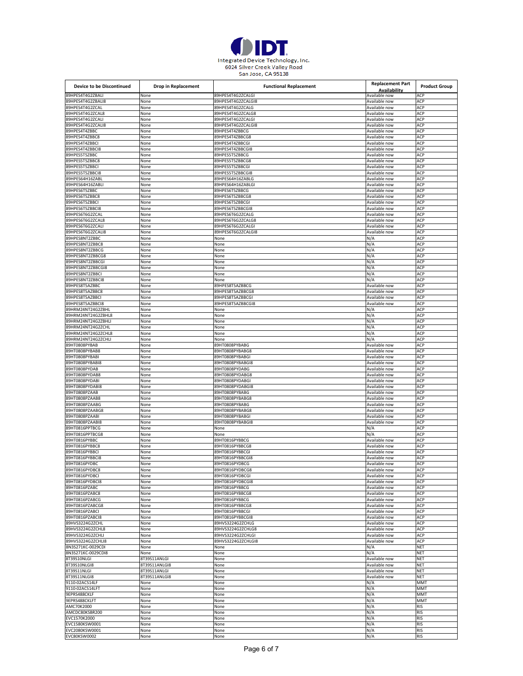

| Device to be Discontinued               | <b>Drop in Replacement</b> | <b>Functional Replacement</b>       | <b>Replacement Part</b>        | <b>Product Group</b>     |
|-----------------------------------------|----------------------------|-------------------------------------|--------------------------------|--------------------------|
| 39HPES4T4G2ZBALI                        |                            | 89HPES4T4G2ZCALGI                   | Availability<br>Available now  | ACP                      |
| 89HPES4T4G2ZBALI8                       | None<br>None               | 89HPES4T4G2ZCALGI8                  | Available now                  | ACP                      |
| 89HPES4T4G2ZCAL                         | None                       | 89HPES4T4G2ZCALG                    | Available now                  | ACP                      |
| 89HPES4T4G2ZCAL8                        | None                       | 89HPES4T4G2ZCALG8                   | Available now                  | ACP                      |
| 89HPES4T4G2ZCALI                        | None                       | 89HPES4T4G2ZCALGI                   | Available now                  | ACP                      |
| 89HPES4T4G2ZCALI8                       | None                       | 89HPES4T4G2ZCALGI8                  | Available now                  | ACP                      |
| 89HPES4T4ZBBC                           | None                       | 89HPES4T4ZBBCG                      | Available now                  | ACP                      |
| 39HPES4T4ZBBC8<br>89HPES4T4ZBBCI        | None<br>None               | 89HPES4T4ZBBCG8<br>89HPES4T4ZBBCGI  | Available now<br>Available now | ACP<br>ACP               |
| 89HPES4T4ZBBCI8                         | None                       | 89HPES4T4ZBBCGI8                    | Available now                  | ACP                      |
| 39HPES5T5ZBBC                           | None                       | 89HPES5T5ZBBCG                      | Available now                  | ACP                      |
| 89HPES5T5ZBBC8                          | None                       | 89HPES5T5ZBBCG8                     | Available now                  | ACP                      |
| 89HPES5T5ZBBCI                          | None                       | 89HPES5T5ZBBCGI                     | Available now                  | ACP                      |
| 89HPES5T5ZBBCI8                         | None                       | 89HPES5T5ZBBCGI8                    | Available now                  | ACP                      |
| 89HPES64H16ZABL                         | None                       | 89HPES64H16ZABLG                    | Available now                  | ACP                      |
| 89HPES64H16ZABLI<br>39HPES6T5ZBBC       | None<br>None               | 89HPES64H16ZABLGI<br>89HPES6T5ZBBCG | Available now<br>Available now | ACP<br>ACP               |
| 89HPES6T5ZBBC8                          | None                       | 89HPES6T5ZBBCG8                     | Available now                  | ACP                      |
| 89HPES6T5ZBBCI                          | None                       | 89HPES6T5ZBBCGI                     | Available now                  | ACP                      |
| 89HPES6T5ZBBCI8                         | None                       | 89HPES6T5ZBBCGI8                    | Available now                  | ACP                      |
| 89HPES6T6G2ZCAL                         | None                       | 89HPES6T6G2ZCALG                    | Available now                  | ACP                      |
| 89HPES6T6G2ZCAL8                        | None                       | 89HPES6T6G2ZCALG8                   | Available now                  | ACP                      |
| 89HPES6T6G2ZCALI                        | None                       | 89HPES6T6G2ZCALGI                   | Available now                  | ACP                      |
| 89HPES6T6G2ZCALI8<br>89HPES8NT2ZBBC     | None<br>None               | 89HPES6T6G2ZCALGI8<br>None          | Available now<br>N/A           | ACP<br>ACP               |
| 89HPES8NT2ZBBC8                         | None                       | None                                | N/A                            | ACP                      |
| 89HPES8NT2ZBBCG                         | None                       | None                                | N/A                            | ACP                      |
| 89HPES8NT2ZBBCG8                        | None                       | None                                | N/A                            | ACP                      |
| 89HPES8NT2ZBBCGI                        | None                       | None                                | N/A                            | ACP                      |
| 89HPES8NT2ZBBCGI8                       | None                       | None                                | N/A                            | ACP                      |
| 89HPES8NT2ZBBCI<br>89HPES8NT2ZBBCI8     | None                       | None                                | N/A<br>N/A                     | ACP<br>ACP               |
| 89HPES8T5AZBBC                          | None<br>None               | None<br>89HPES8T5AZBBCG             | Available now                  | ACP                      |
| 89HPES8T5AZBBC8                         | None                       | 89HPES8T5AZBBCG8                    | Available now                  | ACP                      |
| 89HPES8T5AZBBCI                         | None                       | 89HPES8T5AZBBCGI                    | Available now                  | ACP                      |
| 39HPES8T5AZBBCI8                        | None                       | 89HPES8T5AZBBCGI8                   | Available now                  | ACP                      |
| 89HRM24NT24G2ZBHL                       | None                       | None                                | N/A                            | ACP                      |
| 89HRM24NT24G2ZBHL8                      | None                       | None                                | N/A                            | ACP                      |
| 39HRM24NT24G2ZBHLI<br>89HRM24NT24G2ZCHL | None<br>None               | None<br>None                        | N/A<br>N/A                     | ACP<br>ACP               |
| 89HRM24NT24G2ZCHL8                      | None                       | None                                | N/A                            | ACP                      |
| 89HRM24NT24G2ZCHLI                      | None                       | None                                | N/A                            | ACP                      |
| 89HT0808PYBAB                           | None                       | 89HT0808PYBABG                      | Available now                  | ACP                      |
| 89HT0808PYBAB8                          | None                       | 89HT0808PYBABG8                     | Available now                  | ACP                      |
| 89HT0808PYBABI                          | None                       | 89HT0808PYBABGI                     | Available now                  | ACP                      |
| 89HT0808PYBABI8                         | None                       | 89HT0808PYBABGI8                    | Available now                  | ACP                      |
| 89HT0808PYDAB<br>89HT0808PYDAB8         | None<br>None               | 89HT0808PYDABG<br>89HT0808PYDABG8   | Available now<br>Available now | ACP<br>ACP               |
| 89HT0808PYDABI                          | None                       | 89HT0808PYDABGI                     | Available now                  | ACP                      |
| 89HT0808PYDABI8                         | None                       | 89HT0808PYDABGI8                    | Available now                  | ACP                      |
| 89HT0808PZAAB                           | None                       | 89HT0808PYBABG                      | Available now                  | ACP                      |
| 89HT0808PZAAB8                          | None                       | 89HT0808PYBABG8                     | Available now                  | ACP                      |
| 89HT0808PZAABG                          | None                       | 89HT0808PYBABG                      | Available now                  | ACP                      |
| 89HT0808PZAABG8<br>89HT0808PZAABI       | None                       | 89HT0808PYBABG8<br>89HT0808PYBABGI  | Available now                  | ACP<br>ACP               |
| 89HT0808PZAABI8                         | None<br>None               | 89HT0808PYBABGI8                    | Available now<br>Available now | ACP                      |
| 89HT0816PPTBCG                          | None                       | None                                | N/A                            | ACP                      |
| 89HT0816PPTBCG8                         | None                       | None                                | N/A                            | ACP                      |
| 89HT0816PYBBC                           | None                       | 89HT0816PYBBCG                      | Available now                  | ACP                      |
| 89HT0816PYBBC8                          | None                       | 89HT0816PYBBCG8                     | Available now                  | ACP                      |
| 89HT0816PYBBCI                          | None                       | 89HT0816PYBBCGI                     | Available now                  | ACP                      |
| 89HT0816PYBBCI8<br>89HT0816PYDBC        | None<br>None               | 89HT0816PYBBCGI8<br>89HT0816PYDBCG  | Available now<br>Available not | ACP<br><b>ACP</b>        |
| 89HT0816PYDBC8                          | None                       | 89HT0816PYDBCG8                     | Available now                  | <b>ACP</b>               |
| 89HT0816PYDBCI                          | None                       | 89HT0816PYDBCGI                     | Available now                  | ACP                      |
| 89HT0816PYDBCI8                         | None                       | 89HT0816PYDBCGI8                    | Available now                  | ACP                      |
| 89HT0816PZABC                           | None                       | 89HT0816PYBBCG                      | Available now                  | ACP                      |
| 89HT0816PZABC8                          | None                       | 89HT0816PYBBCG8                     | Available now                  | ACP                      |
| 89HT0816PZABCG<br>89HT0816PZABCG8       | None<br>None               | 89HT0816PYBBCG<br>89HT0816PYBBCG8   | Available now<br>Available now | ACP<br>ACP               |
| 89HT0816PZABCI                          | None                       | 89HT0816PYBBCGI                     | Available now                  | ACP                      |
| 89HT0816PZABCI8                         | None                       | 89HT0816PYBBCGI8                    | Available now                  | ACP                      |
| 89HVS3224G2ZCHL                         | None                       | 89HVS3224G2ZCHLG                    | Available now                  | ACP                      |
| 89HVS3224G2ZCHL8                        | None                       | 89HVS3224G2ZCHLG8                   | Available now                  | ACP                      |
| 89HVS3224G2ZCHLI                        | None                       | 89HVS3224G2ZCHLGI                   | Available now                  | ACP                      |
| 89HVS3224G2ZCHLI8<br>8N3S271KC-0029CDI  | None<br>None               | 89HVS3224G2ZCHLGI8                  | Available now<br>N/A           | ACP<br><b>NET</b>        |
| 8N3S271KC-0029CDI8                      | None                       | None<br>None                        | N/A                            | <b>NET</b>               |
| 8T39S10NLGI                             | 8T39S11ANLGI               | None                                | Available now                  | <b>NET</b>               |
| 8T39S10NLGI8                            | 8T39S11ANLGI8              | None                                | Available now                  | <b>NET</b>               |
| 8T39S11NLGI                             | 8T39S11ANLGI               | None                                | Available now                  | <b>NET</b>               |
| 8T39S11NLGI8                            | 8T39S11ANLGI8              | None                                | Available now                  | <b>NET</b>               |
| 9110-02ACS14LF                          | None                       | None                                | N/A                            | <b>MMT</b>               |
| 9110-02ACS14LFT                         | None                       | None                                | N/A<br>N/A                     | <b>MMT</b><br><b>MMT</b> |
| 9EPRS488CKLF<br>9EPRS488CKLFT           | None<br>None               | None<br>None                        | N/A                            | <b>MMT</b>               |
| AMC70K2000                              | None                       | None                                | N/A                            | <b>RIS</b>               |
| AMCDC80KSBR200                          | None                       | None                                | N/A                            | <b>RIS</b>               |
| EVC1570K2000                            | None                       | None                                | N/A                            | <b>RIS</b>               |
| EVC1580KSW0001                          | None                       | None                                | N/A                            | <b>RIS</b>               |
| EVC2080KSW0001                          | None                       | None                                | N/A                            | <b>RIS</b>               |
| EVC80KSW0002                            | None                       | None                                | N/A                            | <b>RIS</b>               |